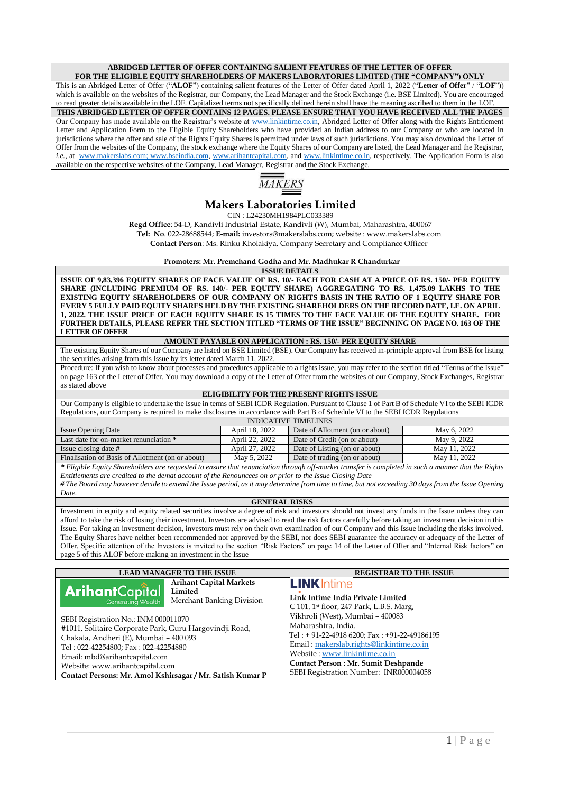## **ABRIDGED LETTER OF OFFER CONTAINING SALIENT FEATURES OF THE LETTER OF OFFER**

**FOR THE ELIGIBLE EQUITY SHAREHOLDERS OF MAKERS LABORATORIES LIMITED (THE "COMPANY") ONLY** This is an Abridged Letter of Offer ("**ALOF**") containing salient features of the Letter of Offer dated April 1, 2022 ("**Letter of Offer**" / "**LOF**")) which is available on the websites of the Registrar, our Company, the Lead Manager and the Stock Exchange (i.e. BSE Limited). You are encouraged to read greater details available in the LOF. Capitalized terms not specifically defined herein shall have the meaning ascribed to them in the LOF. **THIS ABRIDGED LETTER OF OFFER CONTAINS 12 PAGES. PLEASE ENSURE THAT YOU HAVE RECEIVED ALL THE PAGES** Our Company has made available on the Registrar's website at [www.linkintime.co.in,](http://www.linkintime.co.in/) Abridged Letter of Offer along with the Rights Entitlement Letter and Application Form to the Eligible Equity Shareholders who have provided an Indian address to our Company or who are located in jurisdictions where the offer and sale of the Rights Equity Shares is permitted under laws of such jurisdictions. You may also download the Letter of Offer from the websites of the Company, the stock exchange where the Equity Shares of our Company are listed, the Lead Manager and the Registrar, *i.e.*, at [www.makerslabs.com;](http://www.makerslabs.com/) [www.bseindia.com,](http://www.bseindia.com/) [www.arihantcapital.com,](http://www.arihantcapital.com/) an[d www.linkintime.co.in,](http://www.linkintime.co.in/) respectively. The Application Form is also available on the respective websites of the Company, Lead Manager, Registrar and the Stock Exchange.



# **Makers Laboratories Limited**

CIN : L24230MH1984PLC033389

**Regd Office**: 54-D, Kandivli Industrial Estate, Kandivli (W), Mumbai, Maharashtra, 400067

**Tel: No**. 022-28688544; **E-mail:** investors@makerslabs.com; website : www.makerslabs.com

**Contact Person**: Ms. Rinku Kholakiya, Company Secretary and Compliance Officer

**Promoters: Mr. Premchand Godha and Mr. Madhukar R Chandurkar**

**ISSUE DETAILS**

**ISSUE OF 9,83,396 EQUITY SHARES OF FACE VALUE OF RS. 10/- EACH FOR CASH AT A PRICE OF RS. 150/- PER EQUITY SHARE (INCLUDING PREMIUM OF RS. 140/- PER EQUITY SHARE) AGGREGATING TO RS. 1,475.09 LAKHS TO THE EXISTING EQUITY SHAREHOLDERS OF OUR COMPANY ON RIGHTS BASIS IN THE RATIO OF 1 EQUITY SHARE FOR EVERY 5 FULLY PAID EQUITY SHARES HELD BY THE EXISTING SHAREHOLDERS ON THE RECORD DATE, I.E. ON APRIL 1, 2022. THE ISSUE PRICE OF EACH EQUITY SHARE IS 15 TIMES TO THE FACE VALUE OF THE EQUITY SHARE. FOR FURTHER DETAILS, PLEASE REFER THE SECTION TITLED "TERMS OF THE ISSUE" BEGINNING ON PAGE NO. 163 OF THE LETTER OF OFFER**

#### **AMOUNT PAYABLE ON APPLICATION : RS. 150/- PER EQUITY SHARE**

The existing Equity Shares of our Company are listed on BSE Limited (BSE). Our Company has received in-principle approval from BSE for listing the securities arising from this Issue by its letter dated March 11, 2022.

Procedure: If you wish to know about processes and procedures applicable to a rights issue, you may refer to the section titled "Terms of the Issue" on page 163 of the Letter of Offer. You may download a copy of the Letter of Offer from the websites of our Company, Stock Exchanges, Registrar as stated above

#### **ELIGIBILITY FOR THE PRESENT RIGHTS ISSUE**

Our Company is eligible to undertake the Issue in terms of SEBI ICDR Regulation. Pursuant to Clause 1 of Part B of Schedule VI to the SEBI ICDR Regulations, our Company is required to make disclosures in accordance with Part B of Schedule VI to the SEBI ICDR Regulations

| <b>INDICATIVE TIMELINES</b>                      |                |                                 |              |  |
|--------------------------------------------------|----------------|---------------------------------|--------------|--|
| <b>Issue Opening Date</b>                        | April 18, 2022 | Date of Allotment (on or about) | May 6, 2022  |  |
| Last date for on-market renunciation *           | April 22, 2022 | Date of Credit (on or about)    | May 9, 2022  |  |
| Issue closing date #                             | April 27, 2022 | Date of Listing (on or about)   | May 11, 2022 |  |
| Finalisation of Basis of Allotment (on or about) | May 5, 2022    | Date of trading (on or about)   | May 11, 2022 |  |
|                                                  | .              |                                 | .<br>---     |  |

*\* Eligible Equity Shareholders are requested to ensure that renunciation through off-market transfer is completed in such a manner that the Rights Entitlements are credited to the demat account of the Renouncees on or prior to the Issue Closing Date*

*# The Board may however decide to extend the Issue period, as it may determine from time to time, but not exceeding 30 days from the Issue Opening Date.*

### **GENERAL RISKS**

Investment in equity and equity related securities involve a degree of risk and investors should not invest any funds in the Issue unless they can afford to take the risk of losing their investment. Investors are advised to read the risk factors carefully before taking an investment decision in this Issue. For taking an investment decision, investors must rely on their own examination of our Company and this Issue including the risks involved. The Equity Shares have neither been recommended nor approved by the SEBI, nor does SEBI guarantee the accuracy or adequacy of the Letter of Offer. Specific attention of the Investors is invited to the section "Risk Factors" on page 14 of the Letter of Offer and "Internal Risk factors" on page 5 of this ALOF before making an investment in the Issue

| <b>LEAD MANAGER TO THE ISSUE</b>                                                                                                                                                                                                                                                                                                                                  |                                                                        | <b>REGISTRAR TO THE ISSUE</b>                                                                                                                                                                                                                                                                                                                                                |
|-------------------------------------------------------------------------------------------------------------------------------------------------------------------------------------------------------------------------------------------------------------------------------------------------------------------------------------------------------------------|------------------------------------------------------------------------|------------------------------------------------------------------------------------------------------------------------------------------------------------------------------------------------------------------------------------------------------------------------------------------------------------------------------------------------------------------------------|
| <b>Arihant</b> Capîtal<br>Generating Wealth<br>SEBI Registration No.: INM 000011070<br>#1011, Solitaire Corporate Park, Guru Hargovindji Road,<br>Chakala, Andheri (E), Mumbai - 400 093<br>Tel: 022-42254800; Fax: 022-42254880<br>Email: mbd@arihantcapital.com<br>Website: www.arihantcapital.com<br>Contact Persons: Mr. Amol Kshirsagar / Mr. Satish Kumar P | <b>Arihant Capital Markets</b><br>Limited<br>Merchant Banking Division | <b>LINK</b> Intime<br>Link Intime India Private Limited<br>C 101, 1st floor, 247 Park, L.B.S. Marg,<br>Vikhroli (West), Mumbai - 400083<br>Maharashtra, India.<br>Tel: + 91-22-4918 6200; Fax: +91-22-49186195<br>Email: makerslab.rights@linkintime.co.in<br>Website: www.linkintime.co.in<br>Contact Person: Mr. Sumit Deshpande<br>SEBI Registration Number: INR000004058 |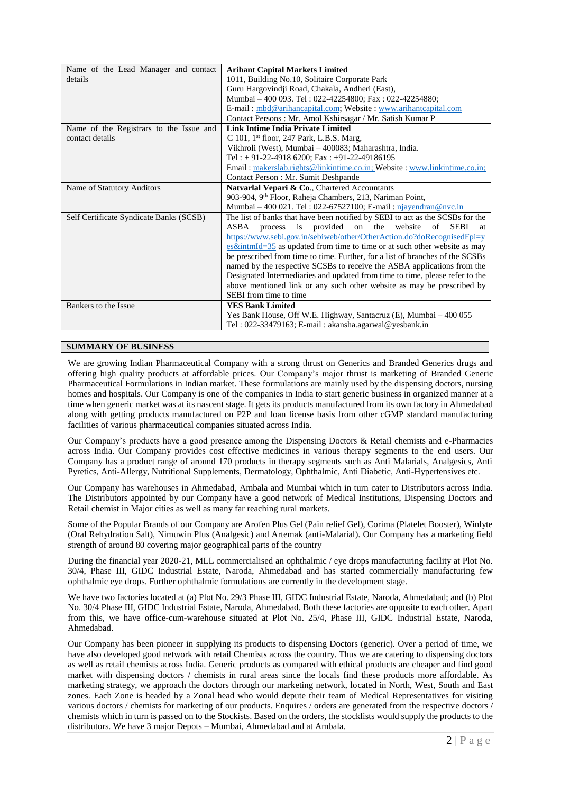| Name of the Lead Manager and contact    | <b>Arihant Capital Markets Limited</b>                                              |  |
|-----------------------------------------|-------------------------------------------------------------------------------------|--|
| details                                 | 1011, Building No.10, Solitaire Corporate Park                                      |  |
|                                         | Guru Hargovindji Road, Chakala, Andheri (East),                                     |  |
|                                         | Mumbai - 400 093. Tel: 022-42254800; Fax: 022-42254880;                             |  |
|                                         | E-mail: mbd@arihancapital.com; Website: www.arihantcapital.com                      |  |
|                                         | Contact Persons: Mr. Amol Kshirsagar / Mr. Satish Kumar P                           |  |
| Name of the Registrars to the Issue and | Link Intime India Private Limited                                                   |  |
| contact details                         | C 101, $1st$ floor, 247 Park, L.B.S. Marg,                                          |  |
|                                         | Vikhroli (West), Mumbai – 400083; Maharashtra, India.                               |  |
|                                         | Tel: + 91-22-4918 6200; Fax: +91-22-49186195                                        |  |
|                                         | Email: makerslab.rights@linkintime.co.in; Website: www.linkintime.co.in;            |  |
|                                         | Contact Person: Mr. Sumit Deshpande                                                 |  |
| Name of Statutory Auditors              | Natvarlal Vepari & Co., Chartered Accountants                                       |  |
|                                         | 903-904, 9th Floor, Raheja Chambers, 213, Nariman Point,                            |  |
|                                         | Mumbai – 400 021. Tel: 022-67527100; E-mail: $n$ jayendran@nvc.in                   |  |
| Self Certificate Syndicate Banks (SCSB) | The list of banks that have been notified by SEBI to act as the SCSBs for the       |  |
|                                         | provided on the website<br>process is<br>of<br><b>SEBI</b><br>ASBA<br>at            |  |
|                                         | https://www.sebi.gov.in/sebiweb/other/OtherAction.do?doRecognisedFpi=y              |  |
|                                         | $es\&\text{intmId}=35$ as updated from time to time or at such other website as may |  |
|                                         | be prescribed from time to time. Further, for a list of branches of the SCSBs       |  |
|                                         | named by the respective SCSBs to receive the ASBA applications from the             |  |
|                                         | Designated Intermediaries and updated from time to time, please refer to the        |  |
|                                         | above mentioned link or any such other website as may be prescribed by              |  |
|                                         | SEBI from time to time                                                              |  |
| Bankers to the Issue                    | <b>YES Bank Limited</b>                                                             |  |
|                                         | Yes Bank House, Off W.E. Highway, Santacruz (E), Mumbai – 400 055                   |  |
|                                         | Tel: 022-33479163; E-mail: akansha.agarwal@yesbank.in                               |  |

## **SUMMARY OF BUSINESS**

We are growing Indian Pharmaceutical Company with a strong thrust on Generics and Branded Generics drugs and offering high quality products at affordable prices. Our Company's major thrust is marketing of Branded Generic Pharmaceutical Formulations in Indian market. These formulations are mainly used by the dispensing doctors, nursing homes and hospitals. Our Company is one of the companies in India to start generic business in organized manner at a time when generic market was at its nascent stage. It gets its products manufactured from its own factory in Ahmedabad along with getting products manufactured on P2P and loan license basis from other cGMP standard manufacturing facilities of various pharmaceutical companies situated across India.

Our Company's products have a good presence among the Dispensing Doctors & Retail chemists and e-Pharmacies across India. Our Company provides cost effective medicines in various therapy segments to the end users. Our Company has a product range of around 170 products in therapy segments such as Anti Malarials, Analgesics, Anti Pyretics, Anti-Allergy, Nutritional Supplements, Dermatology, Ophthalmic, Anti Diabetic, Anti-Hypertensives etc.

Our Company has warehouses in Ahmedabad, Ambala and Mumbai which in turn cater to Distributors across India. The Distributors appointed by our Company have a good network of Medical Institutions, Dispensing Doctors and Retail chemist in Major cities as well as many far reaching rural markets.

Some of the Popular Brands of our Company are Arofen Plus Gel (Pain relief Gel), Corima (Platelet Booster), Winlyte (Oral Rehydration Salt), Nimuwin Plus (Analgesic) and Artemak (anti-Malarial). Our Company has a marketing field strength of around 80 covering major geographical parts of the country

During the financial year 2020-21, MLL commercialised an ophthalmic / eye drops manufacturing facility at Plot No. 30/4, Phase III, GIDC Industrial Estate, Naroda, Ahmedabad and has started commercially manufacturing few ophthalmic eye drops. Further ophthalmic formulations are currently in the development stage.

We have two factories located at (a) Plot No. 29/3 Phase III, GIDC Industrial Estate, Naroda, Ahmedabad; and (b) Plot No. 30/4 Phase III, GIDC Industrial Estate, Naroda, Ahmedabad. Both these factories are opposite to each other. Apart from this, we have office-cum-warehouse situated at Plot No. 25/4, Phase III, GIDC Industrial Estate, Naroda, Ahmedabad.

Our Company has been pioneer in supplying its products to dispensing Doctors (generic). Over a period of time, we have also developed good network with retail Chemists across the country. Thus we are catering to dispensing doctors as well as retail chemists across India. Generic products as compared with ethical products are cheaper and find good market with dispensing doctors / chemists in rural areas since the locals find these products more affordable. As marketing strategy, we approach the doctors through our marketing network, located in North, West, South and East zones. Each Zone is headed by a Zonal head who would depute their team of Medical Representatives for visiting various doctors / chemists for marketing of our products. Enquires / orders are generated from the respective doctors / chemists which in turn is passed on to the Stockists. Based on the orders, the stocklists would supply the products to the distributors. We have 3 major Depots – Mumbai, Ahmedabad and at Ambala.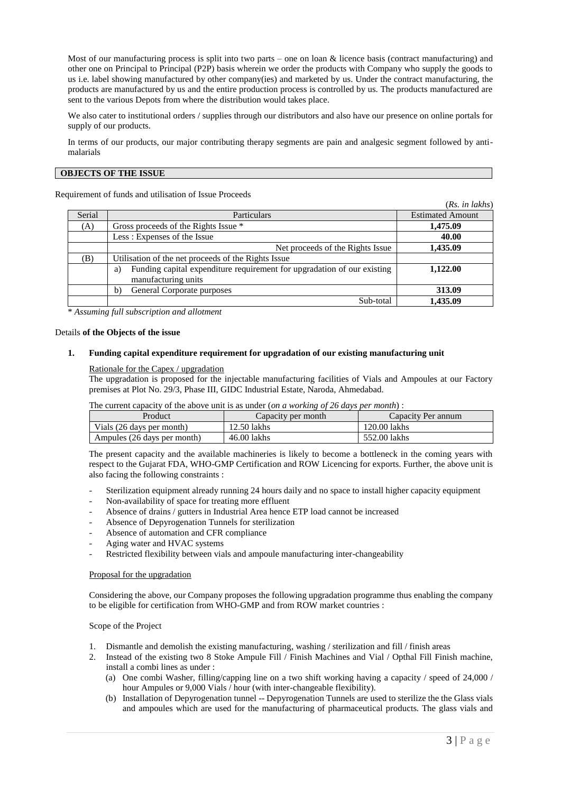Most of our manufacturing process is split into two parts – one on loan & licence basis (contract manufacturing) and other one on Principal to Principal (P2P) basis wherein we order the products with Company who supply the goods to us i.e. label showing manufactured by other company(ies) and marketed by us. Under the contract manufacturing, the products are manufactured by us and the entire production process is controlled by us. The products manufactured are sent to the various Depots from where the distribution would takes place.

We also cater to institutional orders / supplies through our distributors and also have our presence on online portals for supply of our products.

In terms of our products, our major contributing therapy segments are pain and analgesic segment followed by antimalarials

### **OBJECTS OF THE ISSUE**

Requirement of funds and utilisation of Issue Proceeds

|        |                                                                                                      | (Rs. in lakhs)          |
|--------|------------------------------------------------------------------------------------------------------|-------------------------|
| Serial | Particulars                                                                                          | <b>Estimated Amount</b> |
| (A)    | Gross proceeds of the Rights Issue *                                                                 | 1,475.09                |
|        | Less: Expenses of the Issue                                                                          | 40.00                   |
|        | Net proceeds of the Rights Issue                                                                     | 1,435.09                |
| (B)    | Utilisation of the net proceeds of the Rights Issue                                                  |                         |
|        | Funding capital expenditure requirement for upgradation of our existing<br>a)<br>manufacturing units | 1,122.00                |
|        | General Corporate purposes<br>b)                                                                     | 313.09                  |
|        | Sub-total                                                                                            | 1.435.09                |

\* *Assuming full subscription and allotment*

#### Details **of the Objects of the issue**

#### **1. Funding capital expenditure requirement for upgradation of our existing manufacturing unit**

#### Rationale for the Capex / upgradation

The upgradation is proposed for the injectable manufacturing facilities of Vials and Ampoules at our Factory premises at Plot No. 29/3, Phase III, GIDC Industrial Estate, Naroda, Ahmedabad.

The current capacity of the above unit is as under (*on a working of 26 days per month*) :

| Product                     | Capacity per month | Capacity Per annum |
|-----------------------------|--------------------|--------------------|
| Vials (26 days per month)   | 12.50 lakhs        | 120.00 lakhs       |
| Ampules (26 days per month) | 46.00 lakhs        | 552.00 lakhs       |

The present capacity and the available machineries is likely to become a bottleneck in the coming years with respect to the Gujarat FDA, WHO-GMP Certification and ROW Licencing for exports. Further, the above unit is also facing the following constraints :

- Sterilization equipment already running 24 hours daily and no space to install higher capacity equipment
- Non-availability of space for treating more effluent
- Absence of drains / gutters in Industrial Area hence ETP load cannot be increased
- Absence of Depyrogenation Tunnels for sterilization
- Absence of automation and CFR compliance
- Aging water and HVAC systems
- Restricted flexibility between vials and ampoule manufacturing inter-changeability

### Proposal for the upgradation

Considering the above, our Company proposes the following upgradation programme thus enabling the company to be eligible for certification from WHO-GMP and from ROW market countries :

#### Scope of the Project

- 1. Dismantle and demolish the existing manufacturing, washing / sterilization and fill / finish areas
- 2. Instead of the existing two 8 Stoke Ampule Fill / Finish Machines and Vial / Opthal Fill Finish machine, install a combi lines as under :
	- (a) One combi Washer, filling/capping line on a two shift working having a capacity / speed of 24,000 / hour Ampules or 9,000 Vials / hour (with inter-changeable flexibility).
	- (b) Installation of Depyrogenation tunnel -- Depyrogenation Tunnels are used to sterilize the the Glass vials and ampoules which are used for the manufacturing of pharmaceutical products. The glass vials and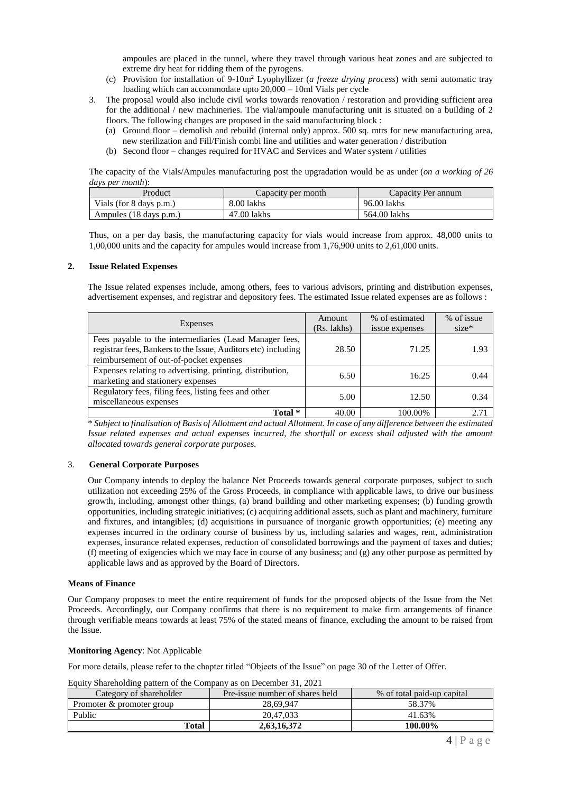ampoules are placed in the tunnel, where they travel through various heat zones and are subjected to extreme dry heat for ridding them of the pyrogens.

- (c) Provision for installation of 9-10m<sup>2</sup> Lyophyllizer (*a freeze drying process*) with semi automatic tray loading which can accommodate upto  $20,000 - 10$ ml Vials per cycle
- 3. The proposal would also include civil works towards renovation / restoration and providing sufficient area for the additional / new machineries. The vial/ampoule manufacturing unit is situated on a building of 2 floors. The following changes are proposed in the said manufacturing block :
	- (a) Ground floor demolish and rebuild (internal only) approx. 500 sq. mtrs for new manufacturing area, new sterilization and Fill/Finish combi line and utilities and water generation / distribution
	- (b) Second floor changes required for HVAC and Services and Water system / utilities

The capacity of the Vials/Ampules manufacturing post the upgradation would be as under (*on a working of 26 days per month*):

| Product                 | Capacity per month | Capacity Per annum |
|-------------------------|--------------------|--------------------|
| Vials (for 8 days p.m.) | 8.00 lakhs         | 96.00 lakhs        |
| Ampules (18 days p.m.)  | 47.00 lakhs        | 564.00 lakhs       |

Thus, on a per day basis, the manufacturing capacity for vials would increase from approx. 48,000 units to 1,00,000 units and the capacity for ampules would increase from 1,76,900 units to 2,61,000 units.

### **2. Issue Related Expenses**

The Issue related expenses include, among others, fees to various advisors, printing and distribution expenses, advertisement expenses, and registrar and depository fees. The estimated Issue related expenses are as follows :

| Expenses                                                                                                                                                           | Amount<br>(Rs. lakhs) | % of estimated<br>issue expenses | % of issue<br>$size*$ |
|--------------------------------------------------------------------------------------------------------------------------------------------------------------------|-----------------------|----------------------------------|-----------------------|
| Fees payable to the intermediaries (Lead Manager fees,<br>registrar fees, Bankers to the Issue, Auditors etc) including<br>reimbursement of out-of-pocket expenses | 28.50                 | 71.25                            | 1.93                  |
| Expenses relating to advertising, printing, distribution,<br>marketing and stationery expenses                                                                     | 6.50                  | 16.25                            | 0.44                  |
| Regulatory fees, filing fees, listing fees and other<br>miscellaneous expenses                                                                                     | 5.00                  | 12.50                            | 0.34                  |
| Total *                                                                                                                                                            | 40.00                 | 100.00%                          | $2.7^\circ$           |

\* *Subject to finalisation of Basis of Allotment and actual Allotment. In case of any difference between the estimated Issue related expenses and actual expenses incurred, the shortfall or excess shall adjusted with the amount allocated towards general corporate purposes.*

### 3. **General Corporate Purposes**

Our Company intends to deploy the balance Net Proceeds towards general corporate purposes, subject to such utilization not exceeding 25% of the Gross Proceeds, in compliance with applicable laws, to drive our business growth, including, amongst other things, (a) brand building and other marketing expenses; (b) funding growth opportunities, including strategic initiatives; (c) acquiring additional assets, such as plant and machinery, furniture and fixtures, and intangibles; (d) acquisitions in pursuance of inorganic growth opportunities; (e) meeting any expenses incurred in the ordinary course of business by us, including salaries and wages, rent, administration expenses, insurance related expenses, reduction of consolidated borrowings and the payment of taxes and duties; (f) meeting of exigencies which we may face in course of any business; and  $\varphi$ ) any other purpose as permitted by applicable laws and as approved by the Board of Directors.

### **Means of Finance**

Our Company proposes to meet the entire requirement of funds for the proposed objects of the Issue from the Net Proceeds. Accordingly, our Company confirms that there is no requirement to make firm arrangements of finance through verifiable means towards at least 75% of the stated means of finance, excluding the amount to be raised from the Issue.

### **Monitoring Agency**: Not Applicable

For more details, please refer to the chapter titled "Objects of the Issue" on page 30 of the Letter of Offer.

Equity Shareholding pattern of the Company as on December 31, 2021

| Category of shareholder   | Pre-issue number of shares held | % of total paid-up capital |
|---------------------------|---------------------------------|----------------------------|
| Promoter & promoter group | 28.69.947                       | 58.37%                     |
| Public                    | 20.47.033                       | 41.63%                     |
| Total                     | 2.63.16.372                     | 100.00%                    |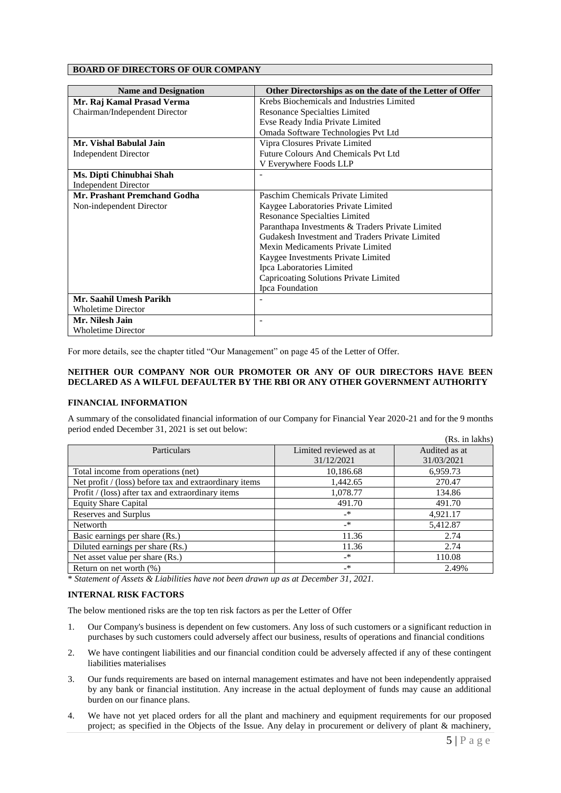# **BOARD OF DIRECTORS OF OUR COMPANY**

| <b>Name and Designation</b>   | Other Directorships as on the date of the Letter of Offer |  |
|-------------------------------|-----------------------------------------------------------|--|
| Mr. Raj Kamal Prasad Verma    | Krebs Biochemicals and Industries Limited                 |  |
| Chairman/Independent Director | Resonance Specialties Limited                             |  |
|                               | Evse Ready India Private Limited                          |  |
|                               | Omada Software Technologies Pvt Ltd                       |  |
| Mr. Vishal Babulal Jain       | Vipra Closures Private Limited                            |  |
| <b>Independent Director</b>   | Future Colours And Chemicals Pvt Ltd                      |  |
|                               | V Everywhere Foods LLP                                    |  |
| Ms. Dipti Chinubhai Shah      |                                                           |  |
| <b>Independent Director</b>   |                                                           |  |
| Mr. Prashant Premchand Godha  | Paschim Chemicals Private Limited                         |  |
| Non-independent Director      | Kaygee Laboratories Private Limited                       |  |
|                               | <b>Resonance Specialties Limited</b>                      |  |
|                               | Paranthapa Investments & Traders Private Limited          |  |
|                               | Gudakesh Investment and Traders Private Limited           |  |
|                               | Mexin Medicaments Private Limited                         |  |
|                               | Kaygee Investments Private Limited                        |  |
|                               | Ipca Laboratories Limited                                 |  |
|                               | Capricoating Solutions Private Limited                    |  |
|                               | Ipca Foundation                                           |  |
| Mr. Saahil Umesh Parikh       |                                                           |  |
| <b>Wholetime Director</b>     |                                                           |  |
| Mr. Nilesh Jain               | $\overline{\phantom{a}}$                                  |  |
| <b>Wholetime Director</b>     |                                                           |  |

For more details, see the chapter titled "Our Management" on page 45 of the Letter of Offer.

## **NEITHER OUR COMPANY NOR OUR PROMOTER OR ANY OF OUR DIRECTORS HAVE BEEN DECLARED AS A WILFUL DEFAULTER BY THE RBI OR ANY OTHER GOVERNMENT AUTHORITY**

## **FINANCIAL INFORMATION**

A summary of the consolidated financial information of our Company for Financial Year 2020-21 and for the 9 months period ended December 31, 2021 is set out below:  $\sigma$  in late  $\sigma$ 

|                                                        |                        | (Rs. 1n lakhs) |
|--------------------------------------------------------|------------------------|----------------|
| Particulars                                            | Limited reviewed as at | Audited as at  |
|                                                        | 31/12/2021             | 31/03/2021     |
| Total income from operations (net)                     | 10,186.68              | 6,959.73       |
| Net profit / (loss) before tax and extraordinary items | 1,442.65               | 270.47         |
| Profit / (loss) after tax and extraordinary items      | 1,078.77               | 134.86         |
| <b>Equity Share Capital</b>                            | 491.70                 | 491.70         |
| Reserves and Surplus                                   | $\rightarrow$          | 4,921.17       |
| Networth                                               | $-$ *                  | 5,412.87       |
| Basic earnings per share (Rs.)                         | 11.36                  | 2.74           |
| Diluted earnings per share (Rs.)                       | 11.36                  | 2.74           |
| Net asset value per share (Rs.)                        | $\rightarrow$          | 110.08         |
| Return on net worth $(\%)$                             | $\rightarrow$          | 2.49%          |

\* *Statement of Assets & Liabilities have not been drawn up as at December 31, 2021.*

### **INTERNAL RISK FACTORS**

The below mentioned risks are the top ten risk factors as per the Letter of Offer

- 1. Our Company's business is dependent on few customers. Any loss of such customers or a significant reduction in purchases by such customers could adversely affect our business, results of operations and financial conditions
- 2. We have contingent liabilities and our financial condition could be adversely affected if any of these contingent liabilities materialises
- 3. Our funds requirements are based on internal management estimates and have not been independently appraised by any bank or financial institution. Any increase in the actual deployment of funds may cause an additional burden on our finance plans.
- 4. We have not yet placed orders for all the plant and machinery and equipment requirements for our proposed project; as specified in the Objects of the Issue. Any delay in procurement or delivery of plant & machinery,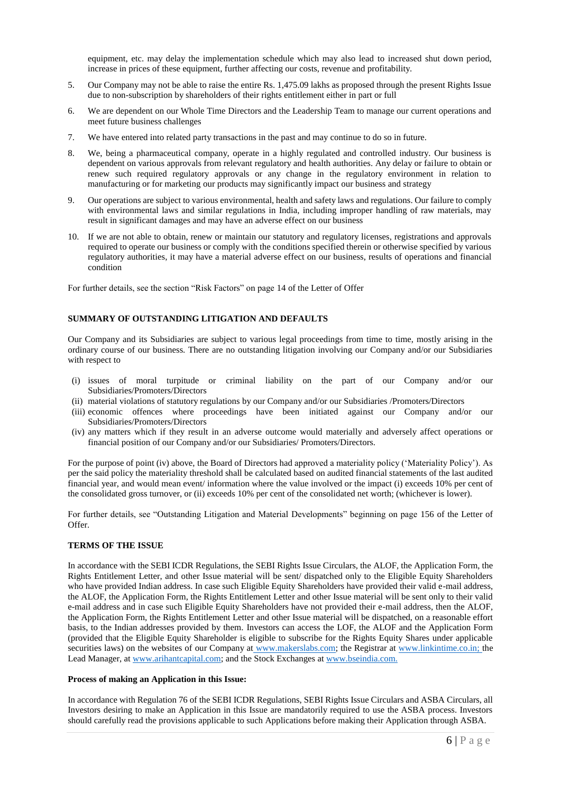equipment, etc. may delay the implementation schedule which may also lead to increased shut down period, increase in prices of these equipment, further affecting our costs, revenue and profitability.

- 5. Our Company may not be able to raise the entire Rs. 1,475.09 lakhs as proposed through the present Rights Issue due to non-subscription by shareholders of their rights entitlement either in part or full
- 6. We are dependent on our Whole Time Directors and the Leadership Team to manage our current operations and meet future business challenges
- 7. We have entered into related party transactions in the past and may continue to do so in future.
- 8. We, being a pharmaceutical company, operate in a highly regulated and controlled industry. Our business is dependent on various approvals from relevant regulatory and health authorities. Any delay or failure to obtain or renew such required regulatory approvals or any change in the regulatory environment in relation to manufacturing or for marketing our products may significantly impact our business and strategy
- 9. Our operations are subject to various environmental, health and safety laws and regulations. Our failure to comply with environmental laws and similar regulations in India, including improper handling of raw materials, may result in significant damages and may have an adverse effect on our business
- 10. If we are not able to obtain, renew or maintain our statutory and regulatory licenses, registrations and approvals required to operate our business or comply with the conditions specified therein or otherwise specified by various regulatory authorities, it may have a material adverse effect on our business, results of operations and financial condition

For further details, see the section "Risk Factors" on page 14 of the Letter of Offer

## **SUMMARY OF OUTSTANDING LITIGATION AND DEFAULTS**

Our Company and its Subsidiaries are subject to various legal proceedings from time to time, mostly arising in the ordinary course of our business. There are no outstanding litigation involving our Company and/or our Subsidiaries with respect to

- (i) issues of moral turpitude or criminal liability on the part of our Company and/or our Subsidiaries/Promoters/Directors
- (ii) material violations of statutory regulations by our Company and/or our Subsidiaries /Promoters/Directors
- (iii) economic offences where proceedings have been initiated against our Company and/or our Subsidiaries/Promoters/Directors
- (iv) any matters which if they result in an adverse outcome would materially and adversely affect operations or financial position of our Company and/or our Subsidiaries/ Promoters/Directors.

For the purpose of point (iv) above, the Board of Directors had approved a materiality policy ('Materiality Policy'). As per the said policy the materiality threshold shall be calculated based on audited financial statements of the last audited financial year, and would mean event/ information where the value involved or the impact (i) exceeds 10% per cent of the consolidated gross turnover, or (ii) exceeds 10% per cent of the consolidated net worth; (whichever is lower).

For further details, see "Outstanding Litigation and Material Developments" beginning on page 156 of the Letter of  $Offer$ 

### **TERMS OF THE ISSUE**

In accordance with the SEBI ICDR Regulations, the SEBI Rights Issue Circulars, the ALOF, the Application Form, the Rights Entitlement Letter, and other Issue material will be sent/ dispatched only to the Eligible Equity Shareholders who have provided Indian address. In case such Eligible Equity Shareholders have provided their valid e-mail address, the ALOF, the Application Form, the Rights Entitlement Letter and other Issue material will be sent only to their valid e-mail address and in case such Eligible Equity Shareholders have not provided their e-mail address, then the ALOF, the Application Form, the Rights Entitlement Letter and other Issue material will be dispatched, on a reasonable effort basis, to the Indian addresses provided by them. Investors can access the LOF, the ALOF and the Application Form (provided that the Eligible Equity Shareholder is eligible to subscribe for the Rights Equity Shares under applicable securities laws) on the websites of our Company at www.makerslabs.com; the Registrar at [www.linkintime.co.in;](http://www.linkintime.co.in/) the Lead Manager, at [www.arihantcapital.com;](http://www.arihantcapital.com/) and the Stock Exchanges at [www.bseindia.com.](http://www.bseindia.com/)

### **Process of making an Application in this Issue:**

In accordance with Regulation 76 of the SEBI ICDR Regulations, SEBI Rights Issue Circulars and ASBA Circulars, all Investors desiring to make an Application in this Issue are mandatorily required to use the ASBA process. Investors should carefully read the provisions applicable to such Applications before making their Application through ASBA.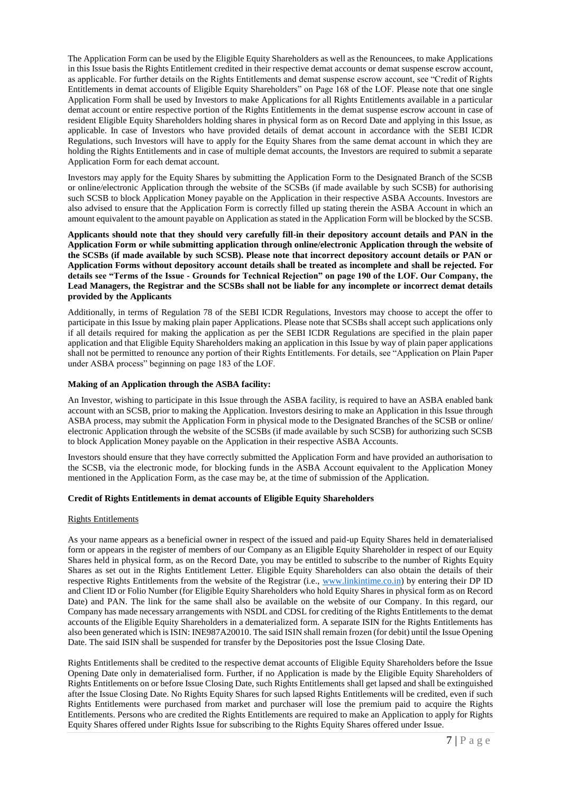The Application Form can be used by the Eligible Equity Shareholders as well as the Renouncees, to make Applications in this Issue basis the Rights Entitlement credited in their respective demat accounts or demat suspense escrow account, as applicable. For further details on the Rights Entitlements and demat suspense escrow account, see "Credit of Rights Entitlements in demat accounts of Eligible Equity Shareholders" on Page 168 of the LOF. Please note that one single Application Form shall be used by Investors to make Applications for all Rights Entitlements available in a particular demat account or entire respective portion of the Rights Entitlements in the demat suspense escrow account in case of resident Eligible Equity Shareholders holding shares in physical form as on Record Date and applying in this Issue, as applicable. In case of Investors who have provided details of demat account in accordance with the SEBI ICDR Regulations, such Investors will have to apply for the Equity Shares from the same demat account in which they are holding the Rights Entitlements and in case of multiple demat accounts, the Investors are required to submit a separate Application Form for each demat account.

Investors may apply for the Equity Shares by submitting the Application Form to the Designated Branch of the SCSB or online/electronic Application through the website of the SCSBs (if made available by such SCSB) for authorising such SCSB to block Application Money payable on the Application in their respective ASBA Accounts. Investors are also advised to ensure that the Application Form is correctly filled up stating therein the ASBA Account in which an amount equivalent to the amount payable on Application as stated in the Application Form will be blocked by the SCSB.

**Applicants should note that they should very carefully fill-in their depository account details and PAN in the Application Form or while submitting application through online/electronic Application through the website of the SCSBs (if made available by such SCSB). Please note that incorrect depository account details or PAN or Application Forms without depository account details shall be treated as incomplete and shall be rejected. For details see "Terms of the Issue - Grounds for Technical Rejection" on page 190 of the LOF. Our Company, the Lead Managers, the Registrar and the SCSBs shall not be liable for any incomplete or incorrect demat details provided by the Applicants**

Additionally, in terms of Regulation 78 of the SEBI ICDR Regulations, Investors may choose to accept the offer to participate in this Issue by making plain paper Applications. Please note that SCSBs shall accept such applications only if all details required for making the application as per the SEBI ICDR Regulations are specified in the plain paper application and that Eligible Equity Shareholders making an application in this Issue by way of plain paper applications shall not be permitted to renounce any portion of their Rights Entitlements. For details, see "Application on Plain Paper under ASBA process" beginning on page 183 of the LOF.

## **Making of an Application through the ASBA facility:**

An Investor, wishing to participate in this Issue through the ASBA facility, is required to have an ASBA enabled bank account with an SCSB, prior to making the Application. Investors desiring to make an Application in this Issue through ASBA process, may submit the Application Form in physical mode to the Designated Branches of the SCSB or online/ electronic Application through the website of the SCSBs (if made available by such SCSB) for authorizing such SCSB to block Application Money payable on the Application in their respective ASBA Accounts.

Investors should ensure that they have correctly submitted the Application Form and have provided an authorisation to the SCSB, via the electronic mode, for blocking funds in the ASBA Account equivalent to the Application Money mentioned in the Application Form, as the case may be, at the time of submission of the Application.

### **Credit of Rights Entitlements in demat accounts of Eligible Equity Shareholders**

## Rights Entitlements

As your name appears as a beneficial owner in respect of the issued and paid-up Equity Shares held in dematerialised form or appears in the register of members of our Company as an Eligible Equity Shareholder in respect of our Equity Shares held in physical form, as on the Record Date, you may be entitled to subscribe to the number of Rights Equity Shares as set out in the Rights Entitlement Letter. Eligible Equity Shareholders can also obtain the details of their respective Rights Entitlements from the website of the Registrar (i.e., [www.linkintime.co.in\)](http://www.linkintime.co.in/) by entering their DP ID and Client ID or Folio Number (for Eligible Equity Shareholders who hold Equity Shares in physical form as on Record Date) and PAN. The link for the same shall also be available on the website of our Company. In this regard, our Company has made necessary arrangements with NSDL and CDSL for crediting of the Rights Entitlements to the demat accounts of the Eligible Equity Shareholders in a dematerialized form. A separate ISIN for the Rights Entitlements has also been generated which is ISIN: INE987A20010. The said ISIN shall remain frozen (for debit) until the Issue Opening Date. The said ISIN shall be suspended for transfer by the Depositories post the Issue Closing Date.

Rights Entitlements shall be credited to the respective demat accounts of Eligible Equity Shareholders before the Issue Opening Date only in dematerialised form. Further, if no Application is made by the Eligible Equity Shareholders of Rights Entitlements on or before Issue Closing Date, such Rights Entitlements shall get lapsed and shall be extinguished after the Issue Closing Date. No Rights Equity Shares for such lapsed Rights Entitlements will be credited, even if such Rights Entitlements were purchased from market and purchaser will lose the premium paid to acquire the Rights Entitlements. Persons who are credited the Rights Entitlements are required to make an Application to apply for Rights Equity Shares offered under Rights Issue for subscribing to the Rights Equity Shares offered under Issue.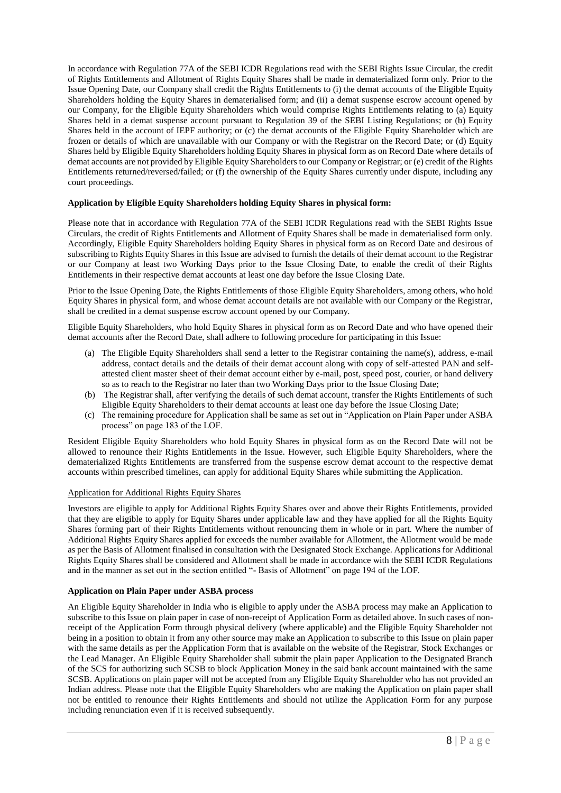In accordance with Regulation 77A of the SEBI ICDR Regulations read with the SEBI Rights Issue Circular, the credit of Rights Entitlements and Allotment of Rights Equity Shares shall be made in dematerialized form only. Prior to the Issue Opening Date, our Company shall credit the Rights Entitlements to (i) the demat accounts of the Eligible Equity Shareholders holding the Equity Shares in dematerialised form; and (ii) a demat suspense escrow account opened by our Company, for the Eligible Equity Shareholders which would comprise Rights Entitlements relating to (a) Equity Shares held in a demat suspense account pursuant to Regulation 39 of the SEBI Listing Regulations; or (b) Equity Shares held in the account of IEPF authority; or (c) the demat accounts of the Eligible Equity Shareholder which are frozen or details of which are unavailable with our Company or with the Registrar on the Record Date; or (d) Equity Shares held by Eligible Equity Shareholders holding Equity Shares in physical form as on Record Date where details of demat accounts are not provided by Eligible Equity Shareholders to our Company or Registrar; or (e) credit of the Rights Entitlements returned/reversed/failed; or (f) the ownership of the Equity Shares currently under dispute, including any court proceedings.

## **Application by Eligible Equity Shareholders holding Equity Shares in physical form:**

Please note that in accordance with Regulation 77A of the SEBI ICDR Regulations read with the SEBI Rights Issue Circulars, the credit of Rights Entitlements and Allotment of Equity Shares shall be made in dematerialised form only. Accordingly, Eligible Equity Shareholders holding Equity Shares in physical form as on Record Date and desirous of subscribing to Rights Equity Shares in this Issue are advised to furnish the details of their demat account to the Registrar or our Company at least two Working Days prior to the Issue Closing Date, to enable the credit of their Rights Entitlements in their respective demat accounts at least one day before the Issue Closing Date.

Prior to the Issue Opening Date, the Rights Entitlements of those Eligible Equity Shareholders, among others, who hold Equity Shares in physical form, and whose demat account details are not available with our Company or the Registrar, shall be credited in a demat suspense escrow account opened by our Company.

Eligible Equity Shareholders, who hold Equity Shares in physical form as on Record Date and who have opened their demat accounts after the Record Date, shall adhere to following procedure for participating in this Issue:

- (a) The Eligible Equity Shareholders shall send a letter to the Registrar containing the name(s), address, e-mail address, contact details and the details of their demat account along with copy of self-attested PAN and selfattested client master sheet of their demat account either by e-mail, post, speed post, courier, or hand delivery so as to reach to the Registrar no later than two Working Days prior to the Issue Closing Date;
- (b) The Registrar shall, after verifying the details of such demat account, transfer the Rights Entitlements of such Eligible Equity Shareholders to their demat accounts at least one day before the Issue Closing Date;
- (c) The remaining procedure for Application shall be same as set out in "Application on Plain Paper under ASBA process" on page 183 of the LOF.

Resident Eligible Equity Shareholders who hold Equity Shares in physical form as on the Record Date will not be allowed to renounce their Rights Entitlements in the Issue. However, such Eligible Equity Shareholders, where the dematerialized Rights Entitlements are transferred from the suspense escrow demat account to the respective demat accounts within prescribed timelines, can apply for additional Equity Shares while submitting the Application.

## Application for Additional Rights Equity Shares

Investors are eligible to apply for Additional Rights Equity Shares over and above their Rights Entitlements, provided that they are eligible to apply for Equity Shares under applicable law and they have applied for all the Rights Equity Shares forming part of their Rights Entitlements without renouncing them in whole or in part. Where the number of Additional Rights Equity Shares applied for exceeds the number available for Allotment, the Allotment would be made as per the Basis of Allotment finalised in consultation with the Designated Stock Exchange. Applications for Additional Rights Equity Shares shall be considered and Allotment shall be made in accordance with the SEBI ICDR Regulations and in the manner as set out in the section entitled "- Basis of Allotment" on page 194 of the LOF.

## **Application on Plain Paper under ASBA process**

An Eligible Equity Shareholder in India who is eligible to apply under the ASBA process may make an Application to subscribe to this Issue on plain paper in case of non-receipt of Application Form as detailed above. In such cases of nonreceipt of the Application Form through physical delivery (where applicable) and the Eligible Equity Shareholder not being in a position to obtain it from any other source may make an Application to subscribe to this Issue on plain paper with the same details as per the Application Form that is available on the website of the Registrar, Stock Exchanges or the Lead Manager. An Eligible Equity Shareholder shall submit the plain paper Application to the Designated Branch of the SCS for authorizing such SCSB to block Application Money in the said bank account maintained with the same SCSB. Applications on plain paper will not be accepted from any Eligible Equity Shareholder who has not provided an Indian address. Please note that the Eligible Equity Shareholders who are making the Application on plain paper shall not be entitled to renounce their Rights Entitlements and should not utilize the Application Form for any purpose including renunciation even if it is received subsequently.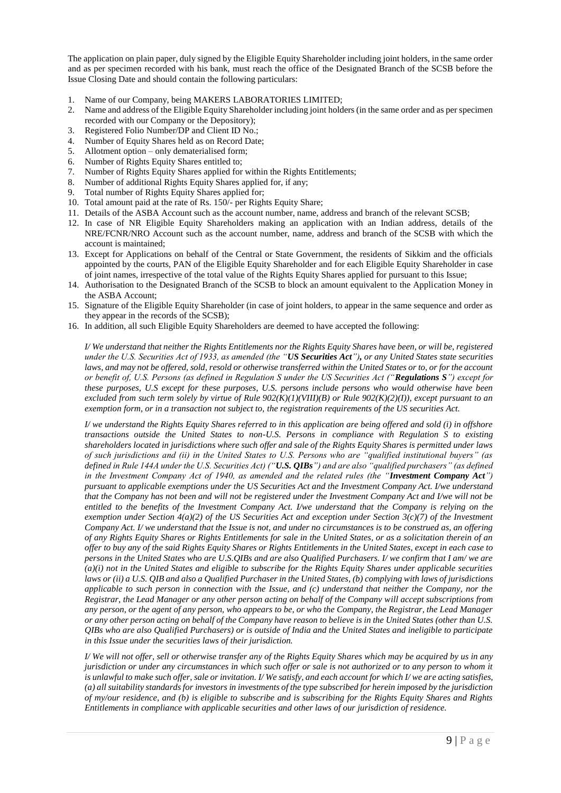The application on plain paper, duly signed by the Eligible Equity Shareholder including joint holders, in the same order and as per specimen recorded with his bank, must reach the office of the Designated Branch of the SCSB before the Issue Closing Date and should contain the following particulars:

- 1. Name of our Company, being MAKERS LABORATORIES LIMITED;
- 2. Name and address of the Eligible Equity Shareholder including joint holders (in the same order and as per specimen recorded with our Company or the Depository);
- 3. Registered Folio Number/DP and Client ID No.;
- 4. Number of Equity Shares held as on Record Date;
- 5. Allotment option only dematerialised form:
- 6. Number of Rights Equity Shares entitled to;
- 7. Number of Rights Equity Shares applied for within the Rights Entitlements;
- 8. Number of additional Rights Equity Shares applied for, if any;
- 9. Total number of Rights Equity Shares applied for;
- 10. Total amount paid at the rate of Rs. 150/- per Rights Equity Share;
- 11. Details of the ASBA Account such as the account number, name, address and branch of the relevant SCSB;
- 12. In case of NR Eligible Equity Shareholders making an application with an Indian address, details of the NRE/FCNR/NRO Account such as the account number, name, address and branch of the SCSB with which the account is maintained;
- 13. Except for Applications on behalf of the Central or State Government, the residents of Sikkim and the officials appointed by the courts, PAN of the Eligible Equity Shareholder and for each Eligible Equity Shareholder in case of joint names, irrespective of the total value of the Rights Equity Shares applied for pursuant to this Issue;
- 14. Authorisation to the Designated Branch of the SCSB to block an amount equivalent to the Application Money in the ASBA Account;
- 15. Signature of the Eligible Equity Shareholder (in case of joint holders, to appear in the same sequence and order as they appear in the records of the SCSB);
- 16. In addition, all such Eligible Equity Shareholders are deemed to have accepted the following:

*I/ We understand that neither the Rights Entitlements nor the Rights Equity Shares have been, or will be, registered under the U.S. Securities Act of 1933, as amended (the "US Securities Act"), or any United States state securities*  laws, and may not be offered, sold, resold or otherwise transferred within the United States or to, or for the account *or benefit of, U.S. Persons (as defined in Regulation S under the US Securities Act ("Regulations S") except for these purposes, U.S except for these purposes, U.S. persons include persons who would otherwise have been excluded from such term solely by virtue of Rule 902(K)(1)(VIII)(B) or Rule 902(K)(2)(I)), except pursuant to an exemption form, or in a transaction not subject to, the registration requirements of the US securities Act.* 

*I/ we understand the Rights Equity Shares referred to in this application are being offered and sold (i) in offshore transactions outside the United States to non-U.S. Persons in compliance with Regulation S to existing shareholders located in jurisdictions where such offer and sale of the Rights Equity Shares is permitted under laws of such jurisdictions and (ii) in the United States to U.S. Persons who are "qualified institutional buyers" (as defined in Rule 144A under the U.S. Securities Act) ("U.S. QIBs") and are also "qualified purchasers" (as defined in the Investment Company Act of 1940, as amended and the related rules (the "Investment Company Act") pursuant to applicable exemptions under the US Securities Act and the Investment Company Act. I/we understand that the Company has not been and will not be registered under the Investment Company Act and I/we will not be entitled to the benefits of the Investment Company Act. I/we understand that the Company is relying on the exemption under Section 4(a)(2) of the US Securities Act and exception under Section 3(c)(7) of the Investment Company Act. I/ we understand that the Issue is not, and under no circumstances is to be construed as, an offering of any Rights Equity Shares or Rights Entitlements for sale in the United States, or as a solicitation therein of an offer to buy any of the said Rights Equity Shares or Rights Entitlements in the United States, except in each case to persons in the United States who are U.S.QIBs and are also Qualified Purchasers. I/ we confirm that I am/ we are (a)(i) not in the United States and eligible to subscribe for the Rights Equity Shares under applicable securities laws or (ii) a U.S. QIB and also a Qualified Purchaser in the United States, (b) complying with laws of jurisdictions applicable to such person in connection with the Issue, and (c) understand that neither the Company, nor the Registrar, the Lead Manager or any other person acting on behalf of the Company will accept subscriptions from any person, or the agent of any person, who appears to be, or who the Company, the Registrar, the Lead Manager or any other person acting on behalf of the Company have reason to believe is in the United States (other than U.S. QIBs who are also Qualified Purchasers) or is outside of India and the United States and ineligible to participate in this Issue under the securities laws of their jurisdiction.* 

*I/ We will not offer, sell or otherwise transfer any of the Rights Equity Shares which may be acquired by us in any jurisdiction or under any circumstances in which such offer or sale is not authorized or to any person to whom it is unlawful to make such offer, sale or invitation. I/ We satisfy, and each account for which I/ we are acting satisfies, (a) all suitability standards for investors in investments of the type subscribed for herein imposed by the jurisdiction of my/our residence, and (b) is eligible to subscribe and is subscribing for the Rights Equity Shares and Rights Entitlements in compliance with applicable securities and other laws of our jurisdiction of residence.*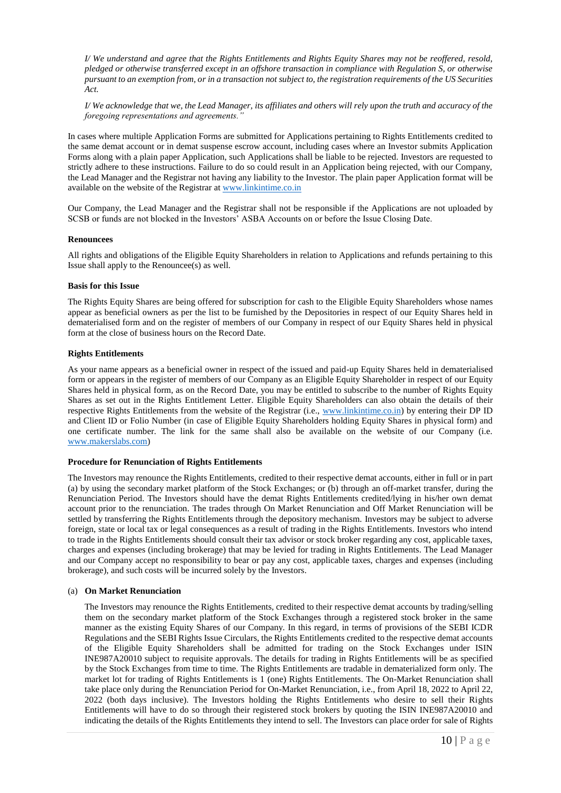*I/ We understand and agree that the Rights Entitlements and Rights Equity Shares may not be reoffered, resold, pledged or otherwise transferred except in an offshore transaction in compliance with Regulation S, or otherwise pursuant to an exemption from, or in a transaction not subject to, the registration requirements of the US Securities Act.* 

*I/ We acknowledge that we, the Lead Manager, its affiliates and others will rely upon the truth and accuracy of the foregoing representations and agreements."* 

In cases where multiple Application Forms are submitted for Applications pertaining to Rights Entitlements credited to the same demat account or in demat suspense escrow account, including cases where an Investor submits Application Forms along with a plain paper Application, such Applications shall be liable to be rejected. Investors are requested to strictly adhere to these instructions. Failure to do so could result in an Application being rejected, with our Company, the Lead Manager and the Registrar not having any liability to the Investor. The plain paper Application format will be available on the website of the Registrar a[t www.linkintime.co.in](http://www.linkintime.co.in/)

Our Company, the Lead Manager and the Registrar shall not be responsible if the Applications are not uploaded by SCSB or funds are not blocked in the Investors' ASBA Accounts on or before the Issue Closing Date.

### **Renouncees**

All rights and obligations of the Eligible Equity Shareholders in relation to Applications and refunds pertaining to this Issue shall apply to the Renouncee(s) as well.

### **Basis for this Issue**

The Rights Equity Shares are being offered for subscription for cash to the Eligible Equity Shareholders whose names appear as beneficial owners as per the list to be furnished by the Depositories in respect of our Equity Shares held in dematerialised form and on the register of members of our Company in respect of our Equity Shares held in physical form at the close of business hours on the Record Date.

## **Rights Entitlements**

As your name appears as a beneficial owner in respect of the issued and paid-up Equity Shares held in dematerialised form or appears in the register of members of our Company as an Eligible Equity Shareholder in respect of our Equity Shares held in physical form, as on the Record Date, you may be entitled to subscribe to the number of Rights Equity Shares as set out in the Rights Entitlement Letter. Eligible Equity Shareholders can also obtain the details of their respective Rights Entitlements from the website of the Registrar (i.e., [www.linkintime.co.in\)](http://www.linkintime.co.in/) by entering their DP ID and Client ID or Folio Number (in case of Eligible Equity Shareholders holding Equity Shares in physical form) and one certificate number. The link for the same shall also be available on the website of our Company (i.e. [www.makerslabs.com\)](http://www.makerslabs.com/)

### **Procedure for Renunciation of Rights Entitlements**

The Investors may renounce the Rights Entitlements, credited to their respective demat accounts, either in full or in part (a) by using the secondary market platform of the Stock Exchanges; or (b) through an off-market transfer, during the Renunciation Period. The Investors should have the demat Rights Entitlements credited/lying in his/her own demat account prior to the renunciation. The trades through On Market Renunciation and Off Market Renunciation will be settled by transferring the Rights Entitlements through the depository mechanism. Investors may be subject to adverse foreign, state or local tax or legal consequences as a result of trading in the Rights Entitlements. Investors who intend to trade in the Rights Entitlements should consult their tax advisor or stock broker regarding any cost, applicable taxes, charges and expenses (including brokerage) that may be levied for trading in Rights Entitlements. The Lead Manager and our Company accept no responsibility to bear or pay any cost, applicable taxes, charges and expenses (including brokerage), and such costs will be incurred solely by the Investors.

### (a) **On Market Renunciation**

The Investors may renounce the Rights Entitlements, credited to their respective demat accounts by trading/selling them on the secondary market platform of the Stock Exchanges through a registered stock broker in the same manner as the existing Equity Shares of our Company. In this regard, in terms of provisions of the SEBI ICDR Regulations and the SEBI Rights Issue Circulars, the Rights Entitlements credited to the respective demat accounts of the Eligible Equity Shareholders shall be admitted for trading on the Stock Exchanges under ISIN INE987A20010 subject to requisite approvals. The details for trading in Rights Entitlements will be as specified by the Stock Exchanges from time to time. The Rights Entitlements are tradable in dematerialized form only. The market lot for trading of Rights Entitlements is 1 (one) Rights Entitlements. The On-Market Renunciation shall take place only during the Renunciation Period for On-Market Renunciation, i.e., from April 18, 2022 to April 22, 2022 (both days inclusive). The Investors holding the Rights Entitlements who desire to sell their Rights Entitlements will have to do so through their registered stock brokers by quoting the ISIN INE987A20010 and indicating the details of the Rights Entitlements they intend to sell. The Investors can place order for sale of Rights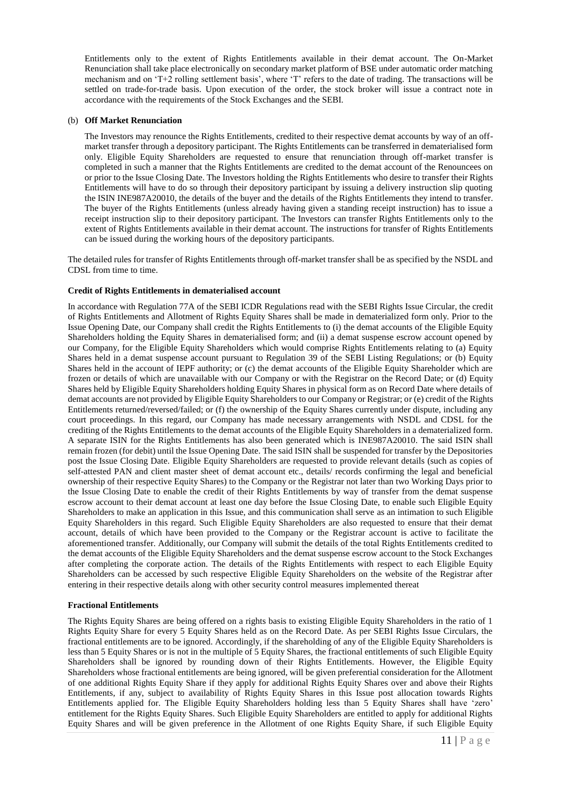Entitlements only to the extent of Rights Entitlements available in their demat account. The On-Market Renunciation shall take place electronically on secondary market platform of BSE under automatic order matching mechanism and on 'T+2 rolling settlement basis', where 'T' refers to the date of trading. The transactions will be settled on trade-for-trade basis. Upon execution of the order, the stock broker will issue a contract note in accordance with the requirements of the Stock Exchanges and the SEBI.

## (b) **Off Market Renunciation**

The Investors may renounce the Rights Entitlements, credited to their respective demat accounts by way of an offmarket transfer through a depository participant. The Rights Entitlements can be transferred in dematerialised form only. Eligible Equity Shareholders are requested to ensure that renunciation through off-market transfer is completed in such a manner that the Rights Entitlements are credited to the demat account of the Renouncees on or prior to the Issue Closing Date. The Investors holding the Rights Entitlements who desire to transfer their Rights Entitlements will have to do so through their depository participant by issuing a delivery instruction slip quoting the ISIN INE987A20010, the details of the buyer and the details of the Rights Entitlements they intend to transfer. The buyer of the Rights Entitlements (unless already having given a standing receipt instruction) has to issue a receipt instruction slip to their depository participant. The Investors can transfer Rights Entitlements only to the extent of Rights Entitlements available in their demat account. The instructions for transfer of Rights Entitlements can be issued during the working hours of the depository participants.

The detailed rules for transfer of Rights Entitlements through off-market transfer shall be as specified by the NSDL and CDSL from time to time.

## **Credit of Rights Entitlements in dematerialised account**

In accordance with Regulation 77A of the SEBI ICDR Regulations read with the SEBI Rights Issue Circular, the credit of Rights Entitlements and Allotment of Rights Equity Shares shall be made in dematerialized form only. Prior to the Issue Opening Date, our Company shall credit the Rights Entitlements to (i) the demat accounts of the Eligible Equity Shareholders holding the Equity Shares in dematerialised form; and (ii) a demat suspense escrow account opened by our Company, for the Eligible Equity Shareholders which would comprise Rights Entitlements relating to (a) Equity Shares held in a demat suspense account pursuant to Regulation 39 of the SEBI Listing Regulations; or (b) Equity Shares held in the account of IEPF authority; or (c) the demat accounts of the Eligible Equity Shareholder which are frozen or details of which are unavailable with our Company or with the Registrar on the Record Date; or (d) Equity Shares held by Eligible Equity Shareholders holding Equity Shares in physical form as on Record Date where details of demat accounts are not provided by Eligible Equity Shareholders to our Company or Registrar; or (e) credit of the Rights Entitlements returned/reversed/failed; or (f) the ownership of the Equity Shares currently under dispute, including any court proceedings. In this regard, our Company has made necessary arrangements with NSDL and CDSL for the crediting of the Rights Entitlements to the demat accounts of the Eligible Equity Shareholders in a dematerialized form. A separate ISIN for the Rights Entitlements has also been generated which is INE987A20010. The said ISIN shall remain frozen (for debit) until the Issue Opening Date. The said ISIN shall be suspended for transfer by the Depositories post the Issue Closing Date. Eligible Equity Shareholders are requested to provide relevant details (such as copies of self-attested PAN and client master sheet of demat account etc., details/ records confirming the legal and beneficial ownership of their respective Equity Shares) to the Company or the Registrar not later than two Working Days prior to the Issue Closing Date to enable the credit of their Rights Entitlements by way of transfer from the demat suspense escrow account to their demat account at least one day before the Issue Closing Date, to enable such Eligible Equity Shareholders to make an application in this Issue, and this communication shall serve as an intimation to such Eligible Equity Shareholders in this regard. Such Eligible Equity Shareholders are also requested to ensure that their demat account, details of which have been provided to the Company or the Registrar account is active to facilitate the aforementioned transfer. Additionally, our Company will submit the details of the total Rights Entitlements credited to the demat accounts of the Eligible Equity Shareholders and the demat suspense escrow account to the Stock Exchanges after completing the corporate action. The details of the Rights Entitlements with respect to each Eligible Equity Shareholders can be accessed by such respective Eligible Equity Shareholders on the website of the Registrar after entering in their respective details along with other security control measures implemented thereat

### **Fractional Entitlements**

The Rights Equity Shares are being offered on a rights basis to existing Eligible Equity Shareholders in the ratio of 1 Rights Equity Share for every 5 Equity Shares held as on the Record Date. As per SEBI Rights Issue Circulars, the fractional entitlements are to be ignored. Accordingly, if the shareholding of any of the Eligible Equity Shareholders is less than 5 Equity Shares or is not in the multiple of 5 Equity Shares, the fractional entitlements of such Eligible Equity Shareholders shall be ignored by rounding down of their Rights Entitlements. However, the Eligible Equity Shareholders whose fractional entitlements are being ignored, will be given preferential consideration for the Allotment of one additional Rights Equity Share if they apply for additional Rights Equity Shares over and above their Rights Entitlements, if any, subject to availability of Rights Equity Shares in this Issue post allocation towards Rights Entitlements applied for. The Eligible Equity Shareholders holding less than 5 Equity Shares shall have 'zero' entitlement for the Rights Equity Shares. Such Eligible Equity Shareholders are entitled to apply for additional Rights Equity Shares and will be given preference in the Allotment of one Rights Equity Share, if such Eligible Equity